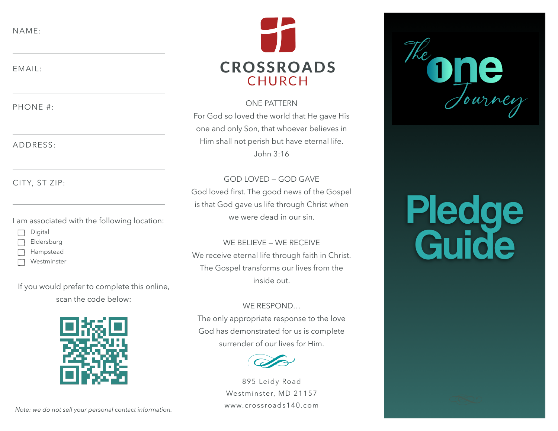NAME:

EMAIL:

PHONE #:

ADDRESS:

CITY, ST ZIP:

I am associated with the following location:

- Digital
- Eldersburg
- Hampstead
- Westminster

If you would prefer to complete this online, scan the code below:



**CROSSROADS CHURCH** 

### ONE PATTERN

For God so loved the world that He gave His one and only Son, that whoever believes in Him shall not perish but have eternal life. John 3:16

GOD LOVED — GOD GAVE God loved first. The good news of the Gospel is that God gave us life through Christ when we were dead in our sin.

WE BELIEVE — WE RECEIVE We receive eternal life through faith in Christ. The Gospel transforms our lives from the inside out.

# WE RESPOND…

The only appropriate response to the love God has demonstrated for us is complete surrender of our lives for Him.



895 Leidy Road Westminster, MD 21157 [www.crossroads140.com](http://www.crossroads140.com)

Pledge **Guide** 

*Note: we do not sell your personal contact information.*